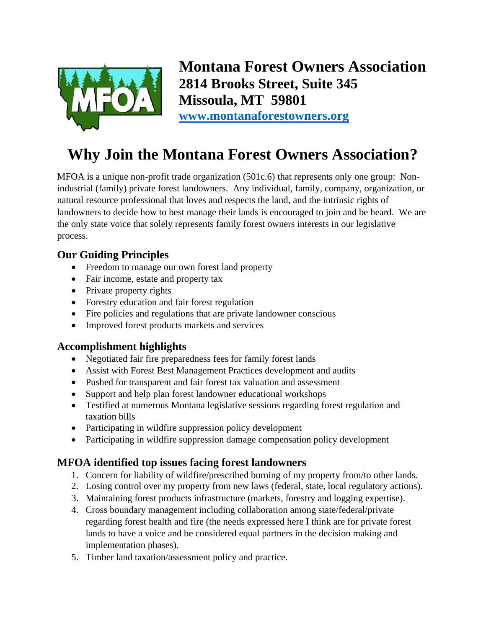

**Montana Forest Owners Association 2814 Brooks Street, Suite 345 Missoula, MT 59801 [www.montanaforestowners.org](http://www.montanaforestowners.org/)**

# **Why Join the Montana Forest Owners Association?**

MFOA is a unique non-profit trade organization (501c.6) that represents only one group: Nonindustrial (family) private forest landowners. Any individual, family, company, organization, or natural resource professional that loves and respects the land, and the intrinsic rights of landowners to decide how to best manage their lands is encouraged to join and be heard. We are the only state voice that solely represents family forest owners interests in our legislative process.

### **Our Guiding Principles**

- Freedom to manage our own forest land property
- Fair income, estate and property tax
- Private property rights
- Forestry education and fair forest regulation
- Fire policies and regulations that are private landowner conscious
- Improved forest products markets and services

#### **Accomplishment highlights**

- Negotiated fair fire preparedness fees for family forest lands
- Assist with Forest Best Management Practices development and audits
- Pushed for transparent and fair forest tax valuation and assessment
- Support and help plan forest landowner educational workshops
- Testified at numerous Montana legislative sessions regarding forest regulation and taxation bills
- Participating in wildfire suppression policy development
- Participating in wildfire suppression damage compensation policy development

## **MFOA identified top issues facing forest landowners**

- 1. Concern for liability of wildfire/prescribed burning of my property from/to other lands.
- 2. Losing control over my property from new laws (federal, state, local regulatory actions).
- 3. Maintaining forest products infrastructure (markets, forestry and logging expertise).
- 4. Cross boundary management including collaboration among state/federal/private regarding forest health and fire (the needs expressed here I think are for private forest lands to have a voice and be considered equal partners in the decision making and implementation phases).
- 5. Timber land taxation/assessment policy and practice.